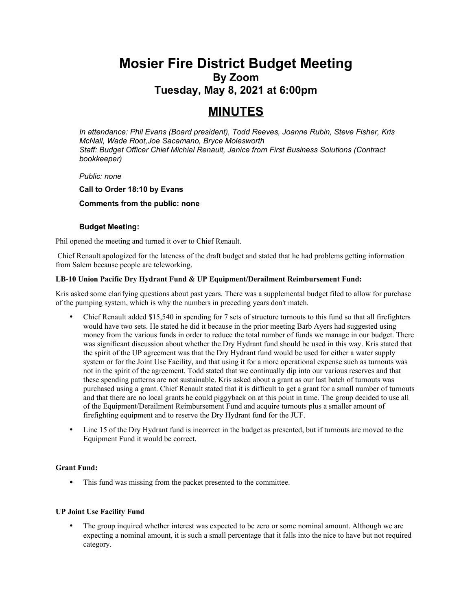## **Mosier Fire District Budget Meeting By Zoom Tuesday, May 8, 2021 at 6:00pm**

# **MINUTES**

*In attendance: Phil Evans (Board president), Todd Reeves, Joanne Rubin, Steve Fisher, Kris McNall, Wade Root,Joe Sacamano, Bryce Molesworth Staff: Budget Officer Chief Michial Renault, Janice from First Business Solutions (Contract bookkeeper)*

## *Public: none*

## **Call to Order 18:10 by Evans**

## **Comments from the public: none**

## **Budget Meeting:**

Phil opened the meeting and turned it over to Chief Renault.

Chief Renault apologized for the lateness of the draft budget and stated that he had problems getting information from Salem because people are teleworking.

## **LB-10 Union Pacific Dry Hydrant Fund & UP Equipment/Derailment Reimbursement Fund:**

Kris asked some clarifying questions about past years. There was a supplemental budget filed to allow for purchase of the pumping system, which is why the numbers in preceding years don't match.

- Chief Renault added \$15,540 in spending for 7 sets of structure turnouts to this fund so that all firefighters would have two sets. He stated he did it because in the prior meeting Barb Ayers had suggested using money from the various funds in order to reduce the total number of funds we manage in our budget. There was significant discussion about whether the Dry Hydrant fund should be used in this way. Kris stated that the spirit of the UP agreement was that the Dry Hydrant fund would be used for either a water supply system or for the Joint Use Facility, and that using it for a more operational expense such as turnouts was not in the spirit of the agreement. Todd stated that we continually dip into our various reserves and that these spending patterns are not sustainable. Kris asked about a grant as our last batch of turnouts was purchased using a grant. Chief Renault stated that it is difficult to get a grant for a small number of turnouts and that there are no local grants he could piggyback on at this point in time. The group decided to use all of the Equipment/Derailment Reimbursement Fund and acquire turnouts plus a smaller amount of firefighting equipment and to reserve the Dry Hydrant fund for the JUF.
- Line 15 of the Dry Hydrant fund is incorrect in the budget as presented, but if turnouts are moved to the Equipment Fund it would be correct.

## **Grant Fund:**

This fund was missing from the packet presented to the committee.

## **UP Joint Use Facility Fund**

 The group inquired whether interest was expected to be zero or some nominal amount. Although we are expecting a nominal amount, it is such a small percentage that it falls into the nice to have but not required category.